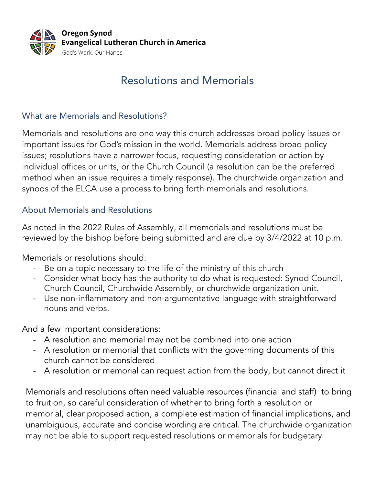

# Resolutions and Memorials

## What are Memorials and Resolutions?

Memorials and resolutions are one way this church addresses broad policy issues or important issues for God's mission in the world. Memorials address broad policy issues; resolutions have a narrower focus, requesting consideration or action by individual offices or units, or the Church Council (a resolution can be the preferred method when an issue requires a timely response). The churchwide organization and synods of the ELCA use a process to bring forth memorials and resolutions.

## About Memorials and Resolutions

As noted in the 2022 Rules of Assembly, all memorials and resolutions must be reviewed by the bishop before being submitted and are due by 3/4/2022 at 10 p.m.

Memorials or resolutions should:

- Be on a topic necessary to the life of the ministry of this church
- Consider what body has the authority to do what is requested: Synod Council, Church Council, Churchwide Assembly, or churchwide organization unit.
- Use non-inflammatory and non-argumentative language with straightforward nouns and verbs.

And a few important considerations:

- A resolution and memorial may not be combined into one action
- A resolution or memorial that conflicts with the governing documents of this church cannot be considered
- A resolution or memorial can request action from the body, but cannot direct it

Memorials and resolutions often need valuable resources (financial and staff) to bring to fruition, so careful consideration of whether to bring forth a resolution or memorial, clear proposed action, a complete estimation of financial implications, and unambiguous, accurate and concise wording are critical. The churchwide organization may not be able to support requested resolutions or memorials for budgetary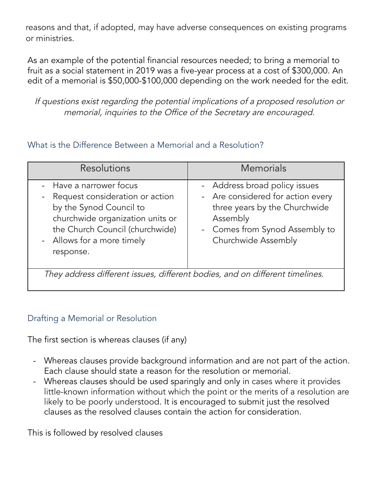reasons and that, if adopted, may have adverse consequences on existing programs or ministries.

As an example of the potential financial resources needed; to bring a memorial to fruit as a social statement in 2019 was a five-year process at a cost of \$300,000. An edit of a memorial is \$50,000-\$100,000 depending on the work needed for the edit.

If questions exist regarding the potential implications of <sup>a</sup> proposed resolution or memorial, inquiries to the Office of the Secretary are encouraged.

#### What is the Difference Between a Memorial and a Resolution?

| <b>Resolutions</b>                                                                                                                                                                                                        | <b>Memorials</b>                                                                                                                                                         |
|---------------------------------------------------------------------------------------------------------------------------------------------------------------------------------------------------------------------------|--------------------------------------------------------------------------------------------------------------------------------------------------------------------------|
| - Have a narrower focus<br>Request consideration or action<br>$\blacksquare$<br>by the Synod Council to<br>churchwide organization units or<br>the Church Council (churchwide)<br>- Allows for a more timely<br>response. | - Address broad policy issues<br>- Are considered for action every<br>three years by the Churchwide<br>Assembly<br>- Comes from Synod Assembly to<br>Churchwide Assembly |
| They address different issues, different bodies, and on different timelines.                                                                                                                                              |                                                                                                                                                                          |

#### Drafting a Memorial or Resolution

The first section is whereas clauses (if any)

- Whereas clauses provide background information and are not part of the action. Each clause should state a reason for the resolution or memorial.
- Whereas clauses should be used sparingly and only in cases where it provides little-known information without which the point or the merits of a resolution are likely to be poorly understood. It is encouraged to submit just the resolved clauses as the resolved clauses contain the action for consideration.

This is followed by resolved clauses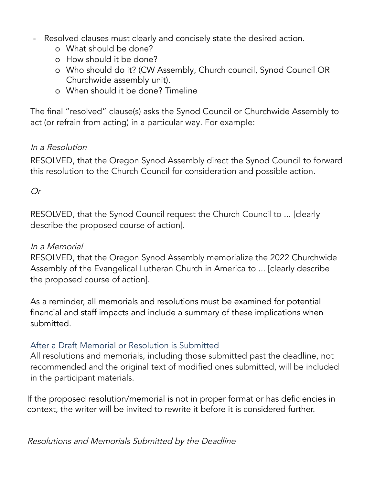- Resolved clauses must clearly and concisely state the desired action.
	- o What should be done?
	- o How should it be done?
	- o Who should do it? (CW Assembly, Church council, Synod Council OR Churchwide assembly unit).
	- o When should it be done? Timeline

The final "resolved" clause(s) asks the Synod Council or Churchwide Assembly to act (or refrain from acting) in a particular way. For example:

# In <sup>a</sup> Resolution

RESOLVED, that the Oregon Synod Assembly direct the Synod Council to forward this resolution to the Church Council for consideration and possible action.

Or

RESOLVED, that the Synod Council request the Church Council to ... [clearly describe the proposed course of action].

#### In <sup>a</sup> Memorial

RESOLVED, that the Oregon Synod Assembly memorialize the 2022 Churchwide Assembly of the Evangelical Lutheran Church in America to ... [clearly describe the proposed course of action].

As a reminder, all memorials and resolutions must be examined for potential financial and staff impacts and include a summary of these implications when submitted.

## After a Draft Memorial or Resolution is Submitted

All resolutions and memorials, including those submitted past the deadline, not recommended and the original text of modified ones submitted, will be included in the participant materials.

If the proposed resolution/memorial is not in proper format or has deficiencies in context, the writer will be invited to rewrite it before it is considered further.

Resolutions and Memorials Submitted by the Deadline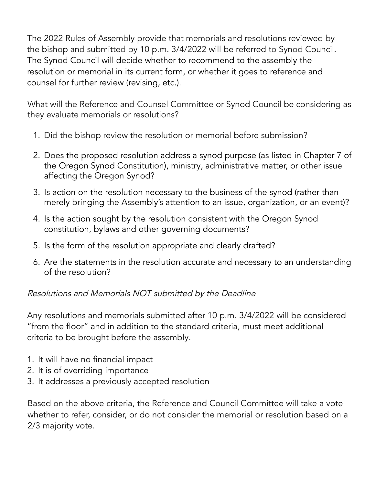The 2022 Rules of Assembly provide that memorials and resolutions reviewed by the bishop and submitted by 10 p.m. 3/4/2022 will be referred to Synod Council. The Synod Council will decide whether to recommend to the assembly the resolution or memorial in its current form, or whether it goes to reference and counsel for further review (revising, etc.).

What will the Reference and Counsel Committee or Synod Council be considering as they evaluate memorials or resolutions?

- 1. Did the bishop review the resolution or memorial before submission?
- 2. Does the proposed resolution address a synod purpose (as listed in Chapter 7 of the Oregon Synod Constitution), ministry, administrative matter, or other issue affecting the Oregon Synod?
- 3. Is action on the resolution necessary to the business of the synod (rather than merely bringing the Assembly's attention to an issue, organization, or an event)?
- 4. Is the action sought by the resolution consistent with the Oregon Synod constitution, bylaws and other governing documents?
- 5. Is the form of the resolution appropriate and clearly drafted?
- 6. Are the statements in the resolution accurate and necessary to an understanding of the resolution?

## Resolutions and Memorials NOT submitted by the Deadline

Any resolutions and memorials submitted after 10 p.m. 3/4/2022 will be considered "from the floor" and in addition to the standard criteria, must meet additional criteria to be brought before the assembly.

- 1. It will have no financial impact
- 2. It is of overriding importance
- 3. It addresses a previously accepted resolution

Based on the above criteria, the Reference and Council Committee will take a vote whether to refer, consider, or do not consider the memorial or resolution based on a 2/3 majority vote.